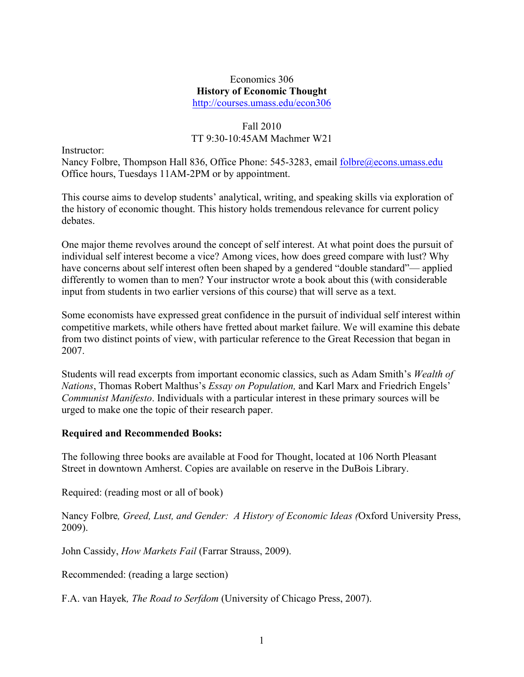#### Economics 306 **History of Economic Thought** http://courses.umass.edu/econ306

## Fall 2010 TT 9:30-10:45AM Machmer W21

Instructor:

Nancy Folbre, Thompson Hall 836, Office Phone: 545-3283, email folbre@econs.umass.edu Office hours, Tuesdays 11AM-2PM or by appointment.

This course aims to develop students' analytical, writing, and speaking skills via exploration of the history of economic thought. This history holds tremendous relevance for current policy debates.

One major theme revolves around the concept of self interest. At what point does the pursuit of individual self interest become a vice? Among vices, how does greed compare with lust? Why have concerns about self interest often been shaped by a gendered "double standard"— applied differently to women than to men? Your instructor wrote a book about this (with considerable input from students in two earlier versions of this course) that will serve as a text.

Some economists have expressed great confidence in the pursuit of individual self interest within competitive markets, while others have fretted about market failure. We will examine this debate from two distinct points of view, with particular reference to the Great Recession that began in 2007.

Students will read excerpts from important economic classics, such as Adam Smith's *Wealth of Nations*, Thomas Robert Malthus's *Essay on Population,* and Karl Marx and Friedrich Engels' *Communist Manifesto*. Individuals with a particular interest in these primary sources will be urged to make one the topic of their research paper.

#### **Required and Recommended Books:**

The following three books are available at Food for Thought, located at 106 North Pleasant Street in downtown Amherst. Copies are available on reserve in the DuBois Library.

Required: (reading most or all of book)

Nancy Folbre*, Greed, Lust, and Gender: A History of Economic Ideas (*Oxford University Press, 2009).

John Cassidy, *How Markets Fail* (Farrar Strauss, 2009).

Recommended: (reading a large section)

F.A. van Hayek*, The Road to Serfdom* (University of Chicago Press, 2007).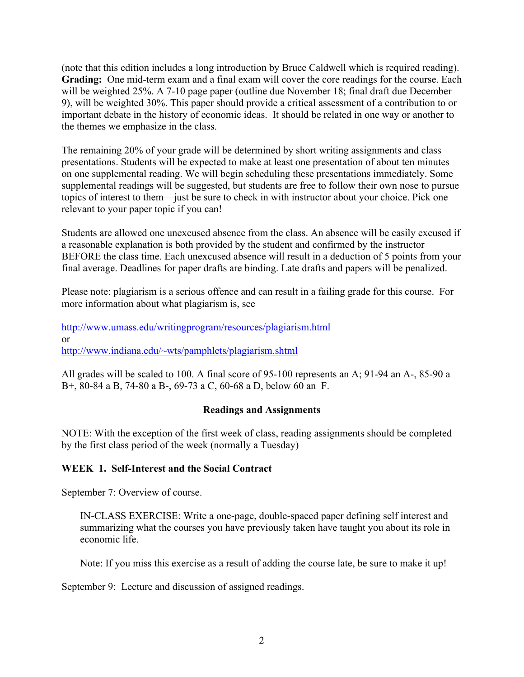(note that this edition includes a long introduction by Bruce Caldwell which is required reading). **Grading:** One mid-term exam and a final exam will cover the core readings for the course. Each will be weighted 25%. A 7-10 page paper (outline due November 18; final draft due December 9), will be weighted 30%. This paper should provide a critical assessment of a contribution to or important debate in the history of economic ideas. It should be related in one way or another to the themes we emphasize in the class.

The remaining 20% of your grade will be determined by short writing assignments and class presentations. Students will be expected to make at least one presentation of about ten minutes on one supplemental reading. We will begin scheduling these presentations immediately. Some supplemental readings will be suggested, but students are free to follow their own nose to pursue topics of interest to them—just be sure to check in with instructor about your choice. Pick one relevant to your paper topic if you can!

Students are allowed one unexcused absence from the class. An absence will be easily excused if a reasonable explanation is both provided by the student and confirmed by the instructor BEFORE the class time. Each unexcused absence will result in a deduction of 5 points from your final average. Deadlines for paper drafts are binding. Late drafts and papers will be penalized.

Please note: plagiarism is a serious offence and can result in a failing grade for this course. For more information about what plagiarism is, see

http://www.umass.edu/writingprogram/resources/plagiarism.html or http://www.indiana.edu/~wts/pamphlets/plagiarism.shtml

All grades will be scaled to 100. A final score of 95-100 represents an A; 91-94 an A-, 85-90 a B+, 80-84 a B, 74-80 a B-, 69-73 a C, 60-68 a D, below 60 an F.

## **Readings and Assignments**

NOTE: With the exception of the first week of class, reading assignments should be completed by the first class period of the week (normally a Tuesday)

## **WEEK 1. Self-Interest and the Social Contract**

September 7: Overview of course.

IN-CLASS EXERCISE: Write a one-page, double-spaced paper defining self interest and summarizing what the courses you have previously taken have taught you about its role in economic life.

Note: If you miss this exercise as a result of adding the course late, be sure to make it up!

September 9: Lecture and discussion of assigned readings.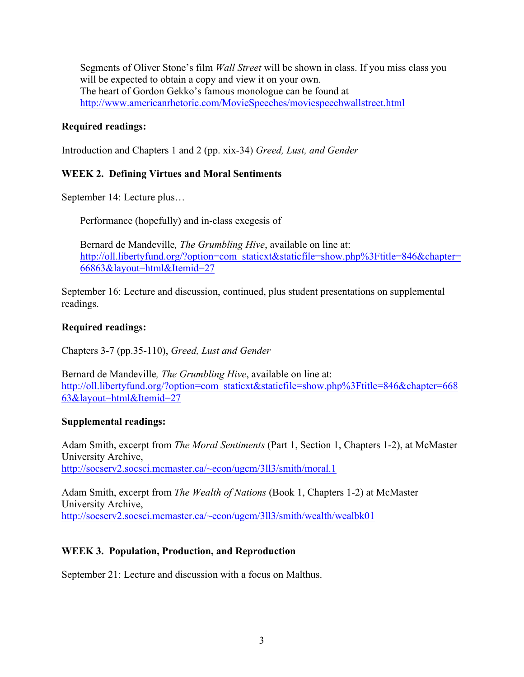Segments of Oliver Stone's film *Wall Street* will be shown in class. If you miss class you will be expected to obtain a copy and view it on your own. The heart of Gordon Gekko's famous monologue can be found at http://www.americanrhetoric.com/MovieSpeeches/moviespeechwallstreet.html

## **Required readings:**

Introduction and Chapters 1 and 2 (pp. xix-34) *Greed, Lust, and Gender* 

## **WEEK 2. Defining Virtues and Moral Sentiments**

September 14: Lecture plus…

Performance (hopefully) and in-class exegesis of

Bernard de Mandeville*, The Grumbling Hive*, available on line at: http://oll.libertyfund.org/?option=com\_staticxt&staticfile=show.php%3Ftitle=846&chapter= 66863&layout=html&Itemid=27

September 16: Lecture and discussion, continued, plus student presentations on supplemental readings.

## **Required readings:**

Chapters 3-7 (pp.35-110), *Greed, Lust and Gender*

Bernard de Mandeville*, The Grumbling Hive*, available on line at: http://oll.libertyfund.org/?option=com\_staticxt&staticfile=show.php%3Ftitle=846&chapter=668 63&layout=html&Itemid=27

## **Supplemental readings:**

Adam Smith, excerpt from *The Moral Sentiments* (Part 1, Section 1, Chapters 1-2), at McMaster University Archive, http://socserv2.socsci.mcmaster.ca/~econ/ugcm/3ll3/smith/moral.1

Adam Smith, excerpt from *The Wealth of Nations* (Book 1, Chapters 1-2) at McMaster University Archive, http://socserv2.socsci.mcmaster.ca/~econ/ugcm/3ll3/smith/wealth/wealbk01

# **WEEK 3. Population, Production, and Reproduction**

September 21: Lecture and discussion with a focus on Malthus.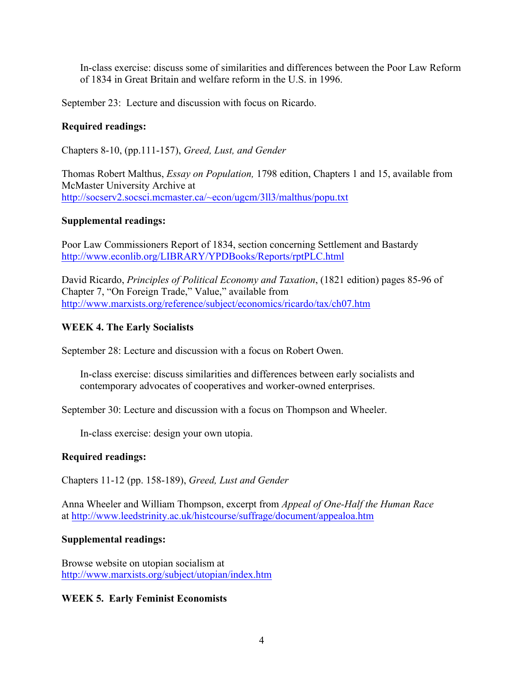In-class exercise: discuss some of similarities and differences between the Poor Law Reform of 1834 in Great Britain and welfare reform in the U.S. in 1996.

September 23: Lecture and discussion with focus on Ricardo.

### **Required readings:**

Chapters 8-10, (pp.111-157), *Greed, Lust, and Gender*

Thomas Robert Malthus, *Essay on Population,* 1798 edition, Chapters 1 and 15, available from McMaster University Archive at http://socserv2.socsci.mcmaster.ca/~econ/ugcm/3ll3/malthus/popu.txt

#### **Supplemental readings:**

Poor Law Commissioners Report of 1834, section concerning Settlement and Bastardy http://www.econlib.org/LIBRARY/YPDBooks/Reports/rptPLC.html

David Ricardo, *Principles of Political Economy and Taxation*, (1821 edition) pages 85-96 of Chapter 7, "On Foreign Trade," Value," available from http://www.marxists.org/reference/subject/economics/ricardo/tax/ch07.htm

#### **WEEK 4. The Early Socialists**

September 28: Lecture and discussion with a focus on Robert Owen.

In-class exercise: discuss similarities and differences between early socialists and contemporary advocates of cooperatives and worker-owned enterprises.

September 30: Lecture and discussion with a focus on Thompson and Wheeler.

In-class exercise: design your own utopia.

#### **Required readings:**

Chapters 11-12 (pp. 158-189), *Greed, Lust and Gender*

Anna Wheeler and William Thompson, excerpt from *Appeal of One-Half the Human Race* at http://www.leedstrinity.ac.uk/histcourse/suffrage/document/appealoa.htm

#### **Supplemental readings:**

Browse website on utopian socialism at http://www.marxists.org/subject/utopian/index.htm

#### **WEEK 5. Early Feminist Economists**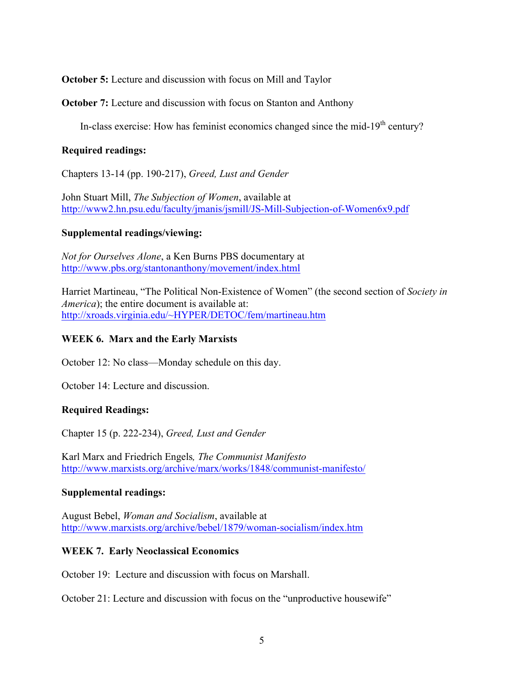**October 5:** Lecture and discussion with focus on Mill and Taylor

**October 7:** Lecture and discussion with focus on Stanton and Anthony

In-class exercise: How has feminist economics changed since the mid-19<sup>th</sup> century?

#### **Required readings:**

Chapters 13-14 (pp. 190-217), *Greed, Lust and Gender*

John Stuart Mill, *The Subjection of Women*, available at http://www2.hn.psu.edu/faculty/jmanis/jsmill/JS-Mill-Subjection-of-Women6x9.pdf

#### **Supplemental readings/viewing:**

*Not for Ourselves Alone*, a Ken Burns PBS documentary at http://www.pbs.org/stantonanthony/movement/index.html

Harriet Martineau, "The Political Non-Existence of Women" (the second section of *Society in America*); the entire document is available at: http://xroads.virginia.edu/~HYPER/DETOC/fem/martineau.htm

## **WEEK 6. Marx and the Early Marxists**

October 12: No class—Monday schedule on this day.

October 14: Lecture and discussion.

## **Required Readings:**

Chapter 15 (p. 222-234), *Greed, Lust and Gender* 

Karl Marx and Friedrich Engels*, The Communist Manifesto* http://www.marxists.org/archive/marx/works/1848/communist-manifesto/

#### **Supplemental readings:**

August Bebel, *Woman and Socialism*, available at http://www.marxists.org/archive/bebel/1879/woman-socialism/index.htm

#### **WEEK 7. Early Neoclassical Economics**

October 19: Lecture and discussion with focus on Marshall.

October 21: Lecture and discussion with focus on the "unproductive housewife"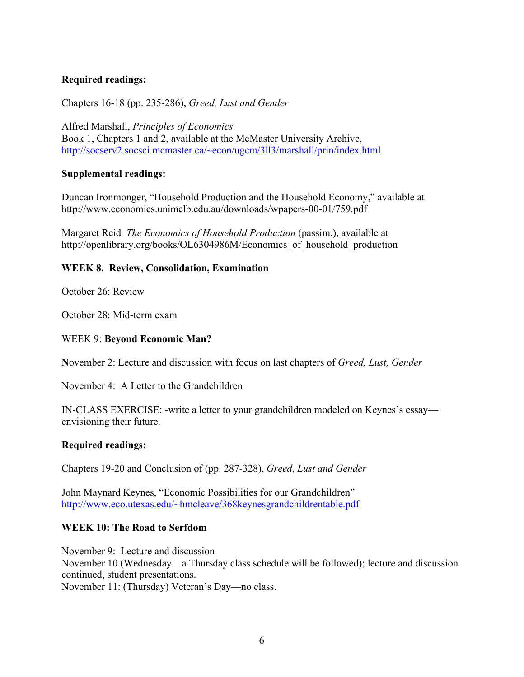## **Required readings:**

Chapters 16-18 (pp. 235-286), *Greed, Lust and Gender*

Alfred Marshall, *Principles of Economics* Book 1, Chapters 1 and 2, available at the McMaster University Archive, http://socserv2.socsci.mcmaster.ca/~econ/ugcm/3ll3/marshall/prin/index.html

#### **Supplemental readings:**

Duncan Ironmonger, "Household Production and the Household Economy," available at http://www.economics.unimelb.edu.au/downloads/wpapers-00-01/759.pdf

Margaret Reid*, The Economics of Household Production* (passim.), available at http://openlibrary.org/books/OL6304986M/Economics of household production

#### **WEEK 8. Review, Consolidation, Examination**

October 26: Review

October 28: Mid-term exam

#### WEEK 9: **Beyond Economic Man?**

**N**ovember 2: Lecture and discussion with focus on last chapters of *Greed, Lust, Gender*

November 4: A Letter to the Grandchildren

IN-CLASS EXERCISE: -write a letter to your grandchildren modeled on Keynes's essay envisioning their future.

#### **Required readings:**

Chapters 19-20 and Conclusion of (pp. 287-328), *Greed, Lust and Gender*

John Maynard Keynes, "Economic Possibilities for our Grandchildren" http://www.eco.utexas.edu/~hmcleave/368keynesgrandchildrentable.pdf

#### **WEEK 10: The Road to Serfdom**

November 9:Lecture and discussion November 10 (Wednesday—a Thursday class schedule will be followed); lecture and discussion continued, student presentations. November 11: (Thursday) Veteran's Day—no class.